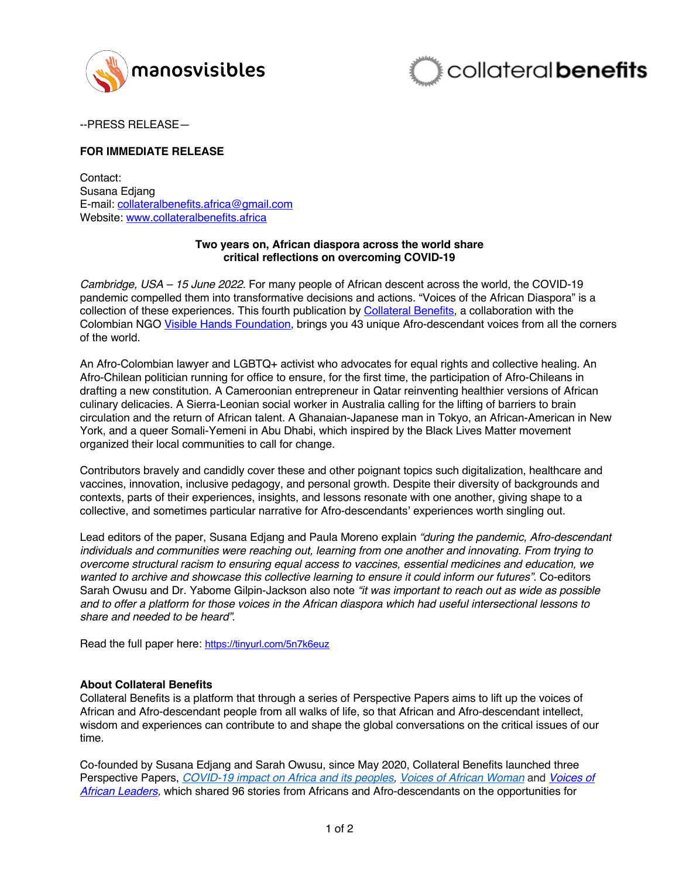



--PRESS RELEASE—

## **FOR IMMEDIATE RELEASE**

Contact: Susana Edjang E-mail: collateralbenefits.africa@gmail.com Website: www.collateralbenefits.africa

## **Two years on, African diaspora across the world share critical reflections on overcoming COVID-19**

*Cambridge, USA – 15 June 2022.* For many people of African descent across the world, the COVID-19 pandemic compelled them into transformative decisions and actions. "Voices of the African Diaspora" is a collection of these experiences. This fourth publication by Collateral Benefits, a collaboration with the Colombian NGO Visible Hands Foundation*,* brings you 43 unique Afro-descendant voices from all the corners of the world.

An Afro-Colombian lawyer and LGBTQ+ activist who advocates for equal rights and collective healing. An Afro-Chilean politician running for office to ensure, for the first time, the participation of Afro-Chileans in drafting a new constitution. A Cameroonian entrepreneur in Qatar reinventing healthier versions of African culinary delicacies. A Sierra-Leonian social worker in Australia calling for the lifting of barriers to brain circulation and the return of African talent. A Ghanaian-Japanese man in Tokyo, an African-American in New York, and a queer Somali-Yemeni in Abu Dhabi, which inspired by the Black Lives Matter movement organized their local communities to call for change.

Contributors bravely and candidly cover these and other poignant topics such digitalization, healthcare and vaccines, innovation, inclusive pedagogy, and personal growth. Despite their diversity of backgrounds and contexts, parts of their experiences, insights, and lessons resonate with one another, giving shape to a collective, and sometimes particular narrative for Afro-descendants' experiences worth singling out.

Lead editors of the paper, Susana Edjang and Paula Moreno explain *"during the pandemic, Afro-descendant individuals and communities were reaching out, learning from one another and innovating. From trying to overcome structural racism to ensuring equal access to vaccines, essential medicines and education, we wanted to archive and showcase this collective learning to ensure it could inform our futures"*. Co-editors Sarah Owusu and Dr. Yabome Gilpin-Jackson also note *"it was important to reach out as wide as possible and to offer a platform for those voices in the African diaspora which had useful intersectional lessons to share and needed to be heard"*.

Read the full paper here: https://tinyurl.com/5n7k6euz

## **About Collateral Benefits**

Collateral Benefits is a platform that through a series of Perspective Papers aims to lift up the voices of African and Afro-descendant people from all walks of life, so that African and Afro-descendant intellect, wisdom and experiences can contribute to and shape the global conversations on the critical issues of our time.

Co-founded by Susana Edjang and Sarah Owusu, since May 2020, Collateral Benefits launched three Perspective Papers, *COVID-19 impact on Africa and its peoples, Voices of African Woman* and *Voices of African Leaders,* which shared 96 stories from Africans and Afro-descendants on the opportunities for